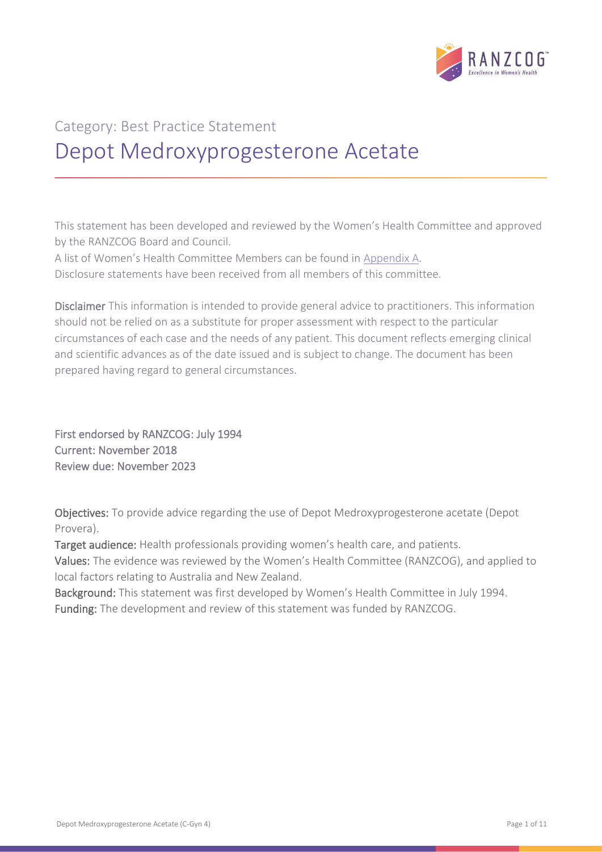

# Category: Best Practice Statement Depot Medroxyprogesterone Acetate

This statement has been developed and reviewed by the Women's Health Committee and approved by the RANZCOG Board and Council.

A list of Women's Health Committee Members can be found in Appendix A.

Disclosure statements have been received from all members of this committee.

Disclaimer This information is intended to provide general advice to practitioners. This information should not be relied on as a substitute for proper assessment with respect to the particular circumstances of each case and the needs of any patient. This document reflects emerging clinical and scientific advances as of the date issued and is subject to change. The document has been prepared having regard to general circumstances.

First endorsed by RANZCOG: July 1994 Current: November 2018 Review due: November 2023

Objectives: To provide advice regarding the use of Depot Medroxyprogesterone acetate (Depot Provera).

Target audience: Health professionals providing women's health care, and patients.

Values: The evidence was reviewed by the Women's Health Committee (RANZCOG), and applied to local factors relating to Australia and New Zealand.

Background: This statement was first developed by Women's Health Committee in July 1994. Funding: The development and review of this statement was funded by RANZCOG.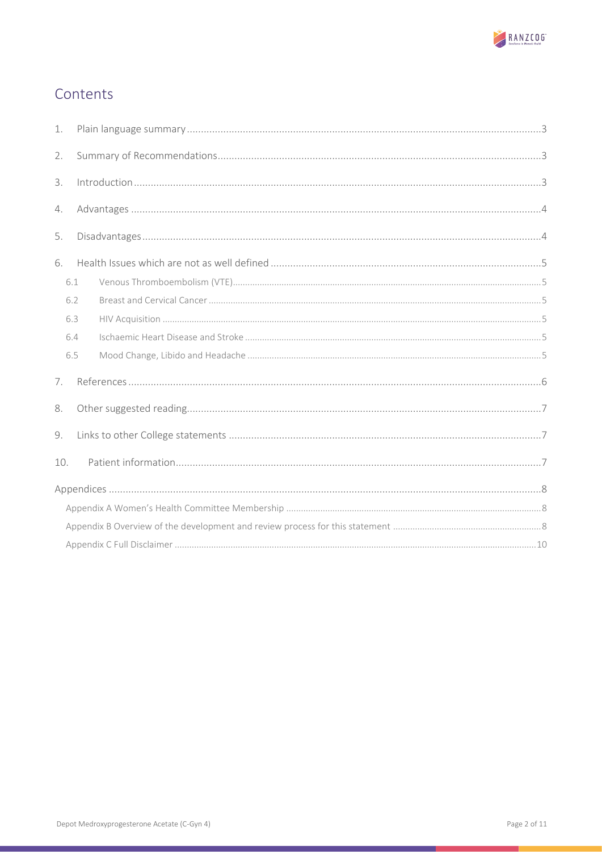

# Contents

| 1.             |                                                                                                                                                                                                                                                                                                                                                                                                                                               |  |  |  |  |
|----------------|-----------------------------------------------------------------------------------------------------------------------------------------------------------------------------------------------------------------------------------------------------------------------------------------------------------------------------------------------------------------------------------------------------------------------------------------------|--|--|--|--|
| 2.             |                                                                                                                                                                                                                                                                                                                                                                                                                                               |  |  |  |  |
| 3.             | $\label{eq:1} \mbox{Introduction}\dots\hspace{1.5mm}\dots\hspace{1.5mm}\dots\hspace{1.5mm}\dots\hspace{1.5mm}\dots\hspace{1.5mm}\dots\hspace{1.5mm}\dots\hspace{1.5mm}\dots\hspace{1.5mm}\dots\hspace{1.5mm}\dots\hspace{1.5mm}\dots\hspace{1.5mm}\dots\hspace{1.5mm}\dots\hspace{1.5mm}\dots\hspace{1.5mm}\dots\hspace{1.5mm}\dots\hspace{1.5mm}\dots\hspace{1.5mm}\dots\hspace{1.5mm}\dots\hspace{1.5mm}\dots\hspace{1.5mm}\dots\hspace{1.$ |  |  |  |  |
| 4.             |                                                                                                                                                                                                                                                                                                                                                                                                                                               |  |  |  |  |
| 5.             |                                                                                                                                                                                                                                                                                                                                                                                                                                               |  |  |  |  |
| 6.             |                                                                                                                                                                                                                                                                                                                                                                                                                                               |  |  |  |  |
|                | 6.1                                                                                                                                                                                                                                                                                                                                                                                                                                           |  |  |  |  |
|                | 6.2                                                                                                                                                                                                                                                                                                                                                                                                                                           |  |  |  |  |
|                | 6.3                                                                                                                                                                                                                                                                                                                                                                                                                                           |  |  |  |  |
|                | 6.4                                                                                                                                                                                                                                                                                                                                                                                                                                           |  |  |  |  |
|                | 6.5                                                                                                                                                                                                                                                                                                                                                                                                                                           |  |  |  |  |
| 7 <sub>1</sub> |                                                                                                                                                                                                                                                                                                                                                                                                                                               |  |  |  |  |
| 8.             |                                                                                                                                                                                                                                                                                                                                                                                                                                               |  |  |  |  |
| 9.             |                                                                                                                                                                                                                                                                                                                                                                                                                                               |  |  |  |  |
| 10.            |                                                                                                                                                                                                                                                                                                                                                                                                                                               |  |  |  |  |
|                |                                                                                                                                                                                                                                                                                                                                                                                                                                               |  |  |  |  |
|                |                                                                                                                                                                                                                                                                                                                                                                                                                                               |  |  |  |  |
|                |                                                                                                                                                                                                                                                                                                                                                                                                                                               |  |  |  |  |
|                |                                                                                                                                                                                                                                                                                                                                                                                                                                               |  |  |  |  |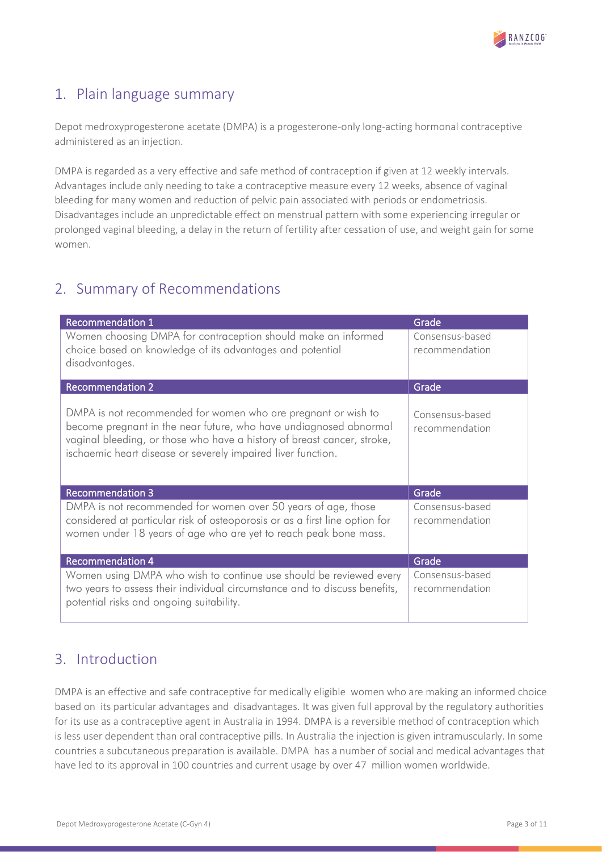

# <span id="page-2-0"></span>1. Plain language summary

Depot medroxyprogesterone acetate (DMPA) is a progesterone-only long-acting hormonal contraceptive administered as an injection.

DMPA is regarded as a very effective and safe method of contraception if given at 12 weekly intervals. Advantages include only needing to take a contraceptive measure every 12 weeks, absence of vaginal bleeding for many women and reduction of pelvic pain associated with periods or endometriosis. Disadvantages include an unpredictable effect on menstrual pattern with some experiencing irregular or prolonged vaginal bleeding, a delay in the return of fertility after cessation of use, and weight gain for some women.

# <span id="page-2-1"></span>2. Summary of Recommendations

| <b>Recommendation 1</b>                                                                                                                                                                                                                                                       | Grade                             |
|-------------------------------------------------------------------------------------------------------------------------------------------------------------------------------------------------------------------------------------------------------------------------------|-----------------------------------|
| Women choosing DMPA for contraception should make an informed<br>choice based on knowledge of its advantages and potential<br>disadvantages.                                                                                                                                  | Consensus-based<br>recommendation |
| <b>Recommendation 2</b>                                                                                                                                                                                                                                                       | Grade                             |
| DMPA is not recommended for women who are pregnant or wish to<br>become pregnant in the near future, who have undiagnosed abnormal<br>vaginal bleeding, or those who have a history of breast cancer, stroke,<br>ischaemic heart disease or severely impaired liver function. | Consensus-based<br>recommendation |
| <b>Recommendation 3</b>                                                                                                                                                                                                                                                       | Grade                             |
| DMPA is not recommended for women over 50 years of age, those<br>considered at particular risk of osteoporosis or as a first line option for<br>women under 18 years of age who are yet to reach peak bone mass.                                                              | Consensus-based<br>recommendation |
| <b>Recommendation 4</b>                                                                                                                                                                                                                                                       | Grade                             |
| Women using DMPA who wish to continue use should be reviewed every<br>two years to assess their individual circumstance and to discuss benefits,<br>potential risks and ongoing suitability.                                                                                  | Consensus-based<br>recommendation |

### <span id="page-2-2"></span>3. Introduction

DMPA is an effective and safe contraceptive for medically eligible women who are making an informed choice based on its particular advantages and disadvantages. It was given full approval by the regulatory authorities for its use as a contraceptive agent in Australia in 1994. DMPA is a reversible method of contraception which is less user dependent than oral contraceptive pills. In Australia the injection is given intramuscularly. In some countries a subcutaneous preparation is available. DMPA has a number of social and medical advantages that have led to its approval in 100 countries and current usage by over 47 million women worldwide.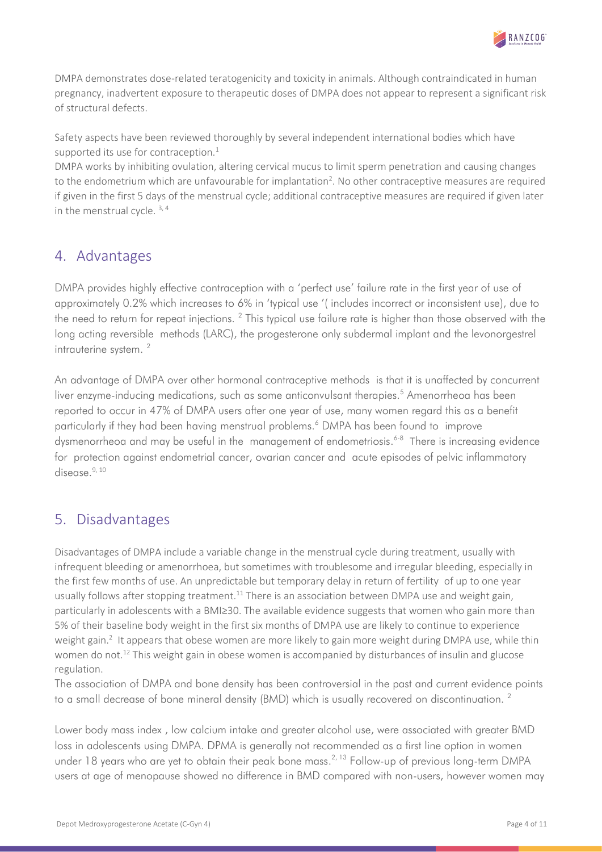

DMPA demonstrates dose-related teratogenicity and toxicity in animals. Although contraindicated in human pregnancy, inadvertent exposure to therapeutic doses of DMPA does not appear to represent a significant risk of structural defects.

Safety aspects have been reviewed thoroughly by several independent international bodies which have supported its use for contraception. $1$ 

DMPA works by inhibiting ovulation, altering cervical mucus to limit sperm penetration and causing changes to the endometrium which are unfavourable for implantation<sup>2</sup>. No other contraceptive measures are required if given in the first 5 days of the menstrual cycle; additional contraceptive measures are required if given later in the menstrual cycle.<sup>3,4</sup>

### <span id="page-3-0"></span>4. Advantages

DMPA provides highly effective contraception with a 'perfect use' failure rate in the first year of use of approximately 0.2% which increases to 6% in 'typical use '( includes incorrect or inconsistent use), due to the need to return for repeat injections.  $^2$  This typical use failure rate is higher than those observed with the long acting reversible methods (LARC), the progesterone only subdermal implant and the levonorgestrel intrauterine system.<sup>2</sup>

An advantage of DMPA over other hormonal contraceptive methods is that it is unaffected by concurrent liver enzyme-inducing medications, such as some anticonvulsant therapies. <sup>5</sup> Amenorrheoa has been reported to occur in 47% of DMPA users after one year of use, many women regard this as a benefit particularly if they had been having menstrual problems. <sup>6</sup> DMPA has been found to improve dysmenorrheoa and may be useful in the management of endometriosis. 6-8 There is increasing evidence for protection against endometrial cancer, ovarian cancer and acute episodes of pelvic inflammatory disease. $9,10$ 

### <span id="page-3-1"></span>5. Disadvantages

Disadvantages of DMPA include a variable change in the menstrual cycle during treatment, usually with infrequent bleeding or amenorrhoea, but sometimes with troublesome and irregular bleeding, especially in the first few months of use. An unpredictable but temporary delay in return of fertility of up to one year usually follows after stopping treatment.<sup>11</sup> There is an association between DMPA use and weight gain. particularly in adolescents with a BMI≥30. The available evidence suggests that women who gain more than 5% of their baseline body weight in the first six months of DMPA use are likely to continue to experience weight gain.<sup>2</sup> It appears that obese women are more likely to gain more weight during DMPA use, while thin women do not.<sup>12</sup> This weight gain in obese women is accompanied by disturbances of insulin and glucose regulation.

The association of DMPA and bone density has been controversial in the past and current evidence points to a small decrease of bone mineral density (BMD) which is usually recovered on discontinuation.  $^{\text{2}}$ 

Lower body mass index , low calcium intake and greater alcohol use, were associated with greater BMD loss in adolescents using DMPA. DPMA is generally not recommended as a first line option in women under 18 years who are yet to obtain their peak bone mass.<sup>2, 13</sup> Follow-up of previous long-term DMPA users at age of menopause showed no difference in BMD compared with non-users, however women may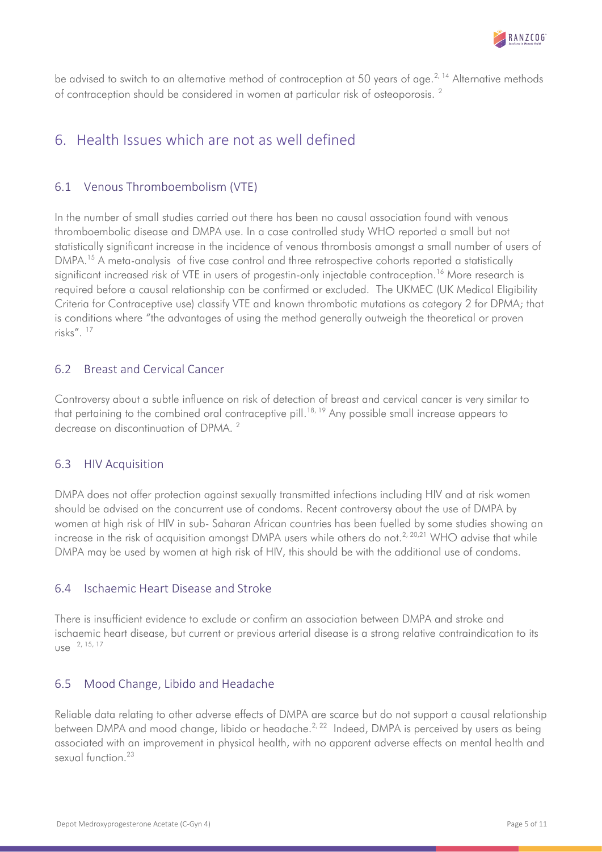

be advised to switch to an alternative method of contraception at 50 years of age.<sup>2, 14</sup> Alternative methods of contraception should be considered in women at particular risk of osteoporosis. <sup>2</sup>

### <span id="page-4-0"></span>6. Health Issues which are not as well defined

### <span id="page-4-1"></span>6.1 Venous Thromboembolism (VTE)

In the number of small studies carried out there has been no causal association found with venous thromboembolic disease and DMPA use. In a case controlled study WHO reported a small but not statistically significant increase in the incidence of venous thrombosis amongst a small number of users of DMPA.<sup>15</sup> A meta-analysis of five case control and three retrospective cohorts reported a statistically significant increased risk of VTE in users of progestin-only injectable contraception.<sup>16</sup> More research is required before a causal relationship can be confirmed or excluded. The UKMEC (UK Medical Eligibility Criteria for Contraceptive use) classify VTE and known thrombotic mutations as category 2 for DPMA; that is conditions where "the advantages of using the method generally outweigh the theoretical or proven risks". <sup>17</sup>

### <span id="page-4-2"></span>6.2 Breast and Cervical Cancer

Controversy about a subtle influence on risk of detection of breast and cervical cancer is very similar to that pertaining to the combined oral contraceptive pill. 18, 19 Any possible small increase appears to decrease on discontinuation of DPMA. 2

### <span id="page-4-3"></span>6.3 HIV Acquisition

DMPA does not offer protection against sexually transmitted infections including HIV and at risk women should be advised on the concurrent use of condoms. Recent controversy about the use of DMPA by women at high risk of HIV in sub- Saharan African countries has been fuelled by some studies showing an increase in the risk of acquisition amongst DMPA users while others do not.<sup>2, 20,21</sup> WHO advise that while DMPA may be used by women at high risk of HIV, this should be with the additional use of condoms.

#### <span id="page-4-4"></span>6.4 Ischaemic Heart Disease and Stroke

There is insufficient evidence to exclude or confirm an association between DMPA and stroke and ischaemic heart disease, but current or previous arterial disease is a strong relative contraindication to its use 2, 15, 17

### <span id="page-4-5"></span>6.5 Mood Change, Libido and Headache

Reliable data relating to other adverse effects of DMPA are scarce but do not support a causal relationship between DMPA and mood change, libido or headache.<sup>2, 22</sup> Indeed, DMPA is perceived by users as being associated with an improvement in physical health, with no apparent adverse effects on mental health and sexual function  $23$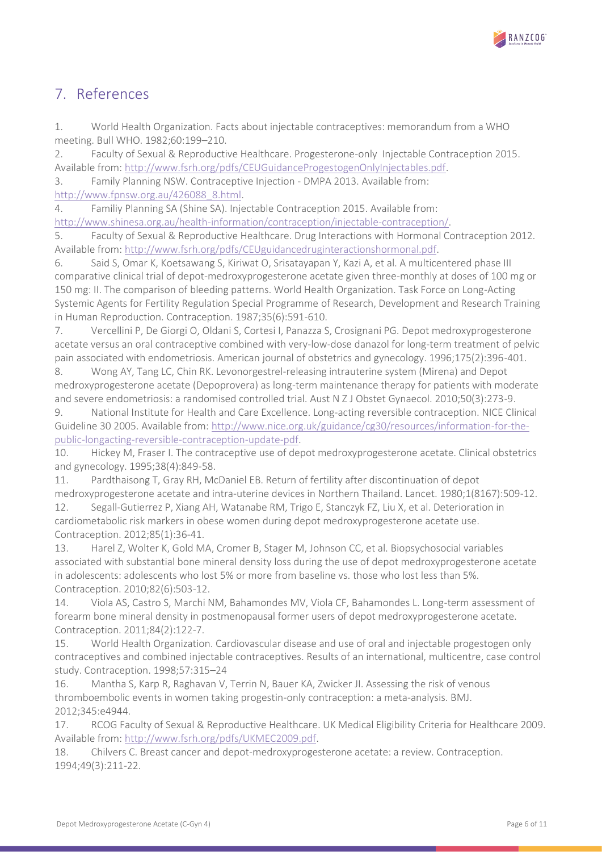

### <span id="page-5-0"></span>7. References

1. World Health Organization. Facts about injectable contraceptives: memorandum from a WHO meeting. Bull WHO. 1982;60:199–210.

2. Faculty of Sexual & Reproductive Healthcare. Progesterone-only Injectable Contraception 2015. Available from: [http://www.fsrh.org/pdfs/CEUGuidanceProgestogenOnlyInjectables.pdf.](http://www.fsrh.org/pdfs/CEUGuidanceProgestogenOnlyInjectables.pdf)

3. Family Planning NSW. Contraceptive Injection - DMPA 2013. Available from: [http://www.fpnsw.org.au/426088\\_8.html.](http://www.fpnsw.org.au/426088_8.html)

4. Familiy Planning SA (Shine SA). Injectable Contraception 2015. Available from: [http://www.shinesa.org.au/health-information/contraception/injectable-contraception/.](http://www.shinesa.org.au/health-information/contraception/injectable-contraception/)

5. Faculty of Sexual & Reproductive Healthcare. Drug Interactions with Hormonal Contraception 2012. Available from: [http://www.fsrh.org/pdfs/CEUguidancedruginteractionshormonal.pdf.](http://www.fsrh.org/pdfs/CEUguidancedruginteractionshormonal.pdf)

6. Said S, Omar K, Koetsawang S, Kiriwat O, Srisatayapan Y, Kazi A, et al. A multicentered phase III comparative clinical trial of depot-medroxyprogesterone acetate given three-monthly at doses of 100 mg or 150 mg: II. The comparison of bleeding patterns. World Health Organization. Task Force on Long-Acting Systemic Agents for Fertility Regulation Special Programme of Research, Development and Research Training in Human Reproduction. Contraception. 1987;35(6):591-610.

7. Vercellini P, De Giorgi O, Oldani S, Cortesi I, Panazza S, Crosignani PG. Depot medroxyprogesterone acetate versus an oral contraceptive combined with very-low-dose danazol for long-term treatment of pelvic pain associated with endometriosis. American journal of obstetrics and gynecology. 1996;175(2):396-401.

8. Wong AY, Tang LC, Chin RK. Levonorgestrel-releasing intrauterine system (Mirena) and Depot medroxyprogesterone acetate (Depoprovera) as long-term maintenance therapy for patients with moderate and severe endometriosis: a randomised controlled trial. Aust N Z J Obstet Gynaecol. 2010;50(3):273-9.

9. National Institute for Health and Care Excellence. Long-acting reversible contraception. NICE Clinical Guideline 30 2005. Available from: [http://www.nice.org.uk/guidance/cg30/resources/information-for-the](http://www.nice.org.uk/guidance/cg30/resources/information-for-the-public-longacting-reversible-contraception-update-pdf)[public-longacting-reversible-contraception-update-pdf.](http://www.nice.org.uk/guidance/cg30/resources/information-for-the-public-longacting-reversible-contraception-update-pdf)

10. Hickey M, Fraser I. The contraceptive use of depot medroxyprogesterone acetate. Clinical obstetrics and gynecology. 1995;38(4):849-58.

11. Pardthaisong T, Gray RH, McDaniel EB. Return of fertility after discontinuation of depot medroxyprogesterone acetate and intra-uterine devices in Northern Thailand. Lancet. 1980;1(8167):509-12.

12. Segall-Gutierrez P, Xiang AH, Watanabe RM, Trigo E, Stanczyk FZ, Liu X, et al. Deterioration in cardiometabolic risk markers in obese women during depot medroxyprogesterone acetate use. Contraception. 2012;85(1):36-41.

13. Harel Z, Wolter K, Gold MA, Cromer B, Stager M, Johnson CC, et al. Biopsychosocial variables associated with substantial bone mineral density loss during the use of depot medroxyprogesterone acetate in adolescents: adolescents who lost 5% or more from baseline vs. those who lost less than 5%. Contraception. 2010;82(6):503-12.

14. Viola AS, Castro S, Marchi NM, Bahamondes MV, Viola CF, Bahamondes L. Long-term assessment of forearm bone mineral density in postmenopausal former users of depot medroxyprogesterone acetate. Contraception. 2011;84(2):122-7.

15. World Health Organization. Cardiovascular disease and use of oral and injectable progestogen only contraceptives and combined injectable contraceptives. Results of an international, multicentre, case control study. Contraception. 1998;57:315–24

16. Mantha S, Karp R, Raghavan V, Terrin N, Bauer KA, Zwicker JI. Assessing the risk of venous thromboembolic events in women taking progestin-only contraception: a meta-analysis. BMJ. 2012;345:e4944.

17. RCOG Faculty of Sexual & Reproductive Healthcare. UK Medical Eligibility Criteria for Healthcare 2009. Available from: [http://www.fsrh.org/pdfs/UKMEC2009.pdf.](http://www.fsrh.org/pdfs/UKMEC2009.pdf)

18. Chilvers C. Breast cancer and depot-medroxyprogesterone acetate: a review. Contraception. 1994;49(3):211-22.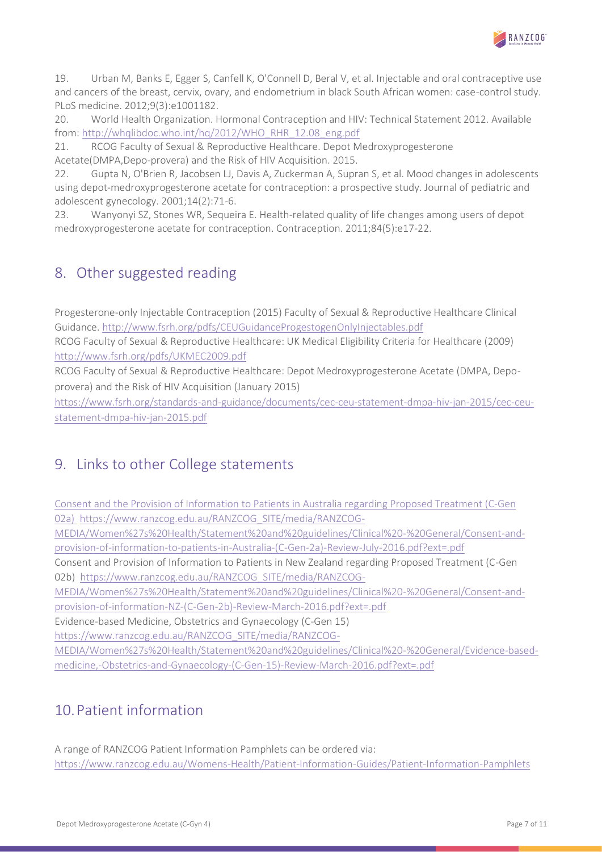

19. Urban M, Banks E, Egger S, Canfell K, O'Connell D, Beral V, et al. Injectable and oral contraceptive use and cancers of the breast, cervix, ovary, and endometrium in black South African women: case-control study. PLoS medicine. 2012;9(3):e1001182.

20. World Health Organization. Hormonal Contraception and HIV: Technical Statement 2012. Available from: [http://whqlibdoc.who.int/hq/2012/WHO\\_RHR\\_12.08\\_eng.pdf](http://whqlibdoc.who.int/hq/2012/WHO_RHR_12.08_eng.pdf)

21. RCOG Faculty of Sexual & Reproductive Healthcare. Depot Medroxyprogesterone Acetate(DMPA,Depo-provera) and the Risk of HIV Acquisition. 2015.

22. Gupta N, O'Brien R, Jacobsen LJ, Davis A, Zuckerman A, Supran S, et al. Mood changes in adolescents using depot-medroxyprogesterone acetate for contraception: a prospective study. Journal of pediatric and adolescent gynecology. 2001;14(2):71-6.

23. Wanyonyi SZ, Stones WR, Sequeira E. Health-related quality of life changes among users of depot medroxyprogesterone acetate for contraception. Contraception. 2011;84(5):e17-22.

### <span id="page-6-0"></span>8. Other suggested reading

Progesterone-only Injectable Contraception (2015) Faculty of Sexual & Reproductive Healthcare Clinical Guidance.<http://www.fsrh.org/pdfs/CEUGuidanceProgestogenOnlyInjectables.pdf>

RCOG Faculty of Sexual & Reproductive Healthcare: UK Medical Eligibility Criteria for Healthcare (2009) <http://www.fsrh.org/pdfs/UKMEC2009.pdf>

RCOG Faculty of Sexual & Reproductive Healthcare: Depot Medroxyprogesterone Acetate (DMPA, Depoprovera) and the Risk of HIV Acquisition (January 2015)

[https://www.fsrh.org/standards-and-guidance/documents/cec-ceu-statement-dmpa-hiv-jan-2015/cec-ceu](https://www.fsrh.org/standards-and-guidance/documents/cec-ceu-statement-dmpa-hiv-jan-2015/cec-ceu-statement-dmpa-hiv-jan-2015.pdf)[statement-dmpa-hiv-jan-2015.pdf](https://www.fsrh.org/standards-and-guidance/documents/cec-ceu-statement-dmpa-hiv-jan-2015/cec-ceu-statement-dmpa-hiv-jan-2015.pdf)

### <span id="page-6-1"></span>9. Links to other College statements

[Consent and the Provision of Information to Patients in Australia regarding Proposed Treatment \(C-Gen](http://www.ranzcog.edu.au/component/docman/doc_download/899-consent-and-the-provision-of-information-to-patients-in-australia-regarding-proposed-treatment-c-gen-02a.html?Itemid=946)  [02a\)](http://www.ranzcog.edu.au/component/docman/doc_download/899-consent-and-the-provision-of-information-to-patients-in-australia-regarding-proposed-treatment-c-gen-02a.html?Itemid=946) https://www.ranzcog.edu.au/RANZCOG SITE/media/RANZCOG-

[MEDIA/Women%27s%20Health/Statement%20and%20guidelines/Clinical%20-%20General/Consent-and](https://www.ranzcog.edu.au/RANZCOG_SITE/media/RANZCOG-MEDIA/Women%27s%20Health/Statement%20and%20guidelines/Clinical%20-%20General/Consent-and-provision-of-information-to-patients-in-Australia-(C-Gen-2a)-Review-July-2016.pdf?ext=.pdf)[provision-of-information-to-patients-in-Australia-\(C-Gen-2a\)-Review-July-2016.pdf?ext=.pdf](https://www.ranzcog.edu.au/RANZCOG_SITE/media/RANZCOG-MEDIA/Women%27s%20Health/Statement%20and%20guidelines/Clinical%20-%20General/Consent-and-provision-of-information-to-patients-in-Australia-(C-Gen-2a)-Review-July-2016.pdf?ext=.pdf)

Consent and Provision of Information to Patients in New Zealand regarding Proposed Treatment (C-Gen 02b) [https://www.ranzcog.edu.au/RANZCOG\\_SITE/media/RANZCOG-](https://www.ranzcog.edu.au/RANZCOG_SITE/media/RANZCOG-MEDIA/Women%27s%20Health/Statement%20and%20guidelines/Clinical%20-%20General/Consent-and-provision-of-information-NZ-(C-Gen-2b)-Review-March-2016.pdf?ext=.pdf%20%20)

[MEDIA/Women%27s%20Health/Statement%20and%20guidelines/Clinical%20-%20General/Consent-and](https://www.ranzcog.edu.au/RANZCOG_SITE/media/RANZCOG-MEDIA/Women%27s%20Health/Statement%20and%20guidelines/Clinical%20-%20General/Consent-and-provision-of-information-NZ-(C-Gen-2b)-Review-March-2016.pdf?ext=.pdf%20%20)[provision-of-information-NZ-\(C-Gen-2b\)-Review-March-2016.pdf?ext=.pdf](https://www.ranzcog.edu.au/RANZCOG_SITE/media/RANZCOG-MEDIA/Women%27s%20Health/Statement%20and%20guidelines/Clinical%20-%20General/Consent-and-provision-of-information-NZ-(C-Gen-2b)-Review-March-2016.pdf?ext=.pdf%20%20) 

Evidence-based Medicine, Obstetrics and Gynaecology (C-Gen 15)

[https://www.ranzcog.edu.au/RANZCOG\\_SITE/media/RANZCOG-](https://www.ranzcog.edu.au/RANZCOG_SITE/media/RANZCOG-MEDIA/Women%27s%20Health/Statement%20and%20guidelines/Clinical%20-%20General/Evidence-based-medicine,-Obstetrics-and-Gynaecology-(C-Gen-15)-Review-March-2016.pdf?ext=.pdf)

[MEDIA/Women%27s%20Health/Statement%20and%20guidelines/Clinical%20-%20General/Evidence-based](https://www.ranzcog.edu.au/RANZCOG_SITE/media/RANZCOG-MEDIA/Women%27s%20Health/Statement%20and%20guidelines/Clinical%20-%20General/Evidence-based-medicine,-Obstetrics-and-Gynaecology-(C-Gen-15)-Review-March-2016.pdf?ext=.pdf)[medicine,-Obstetrics-and-Gynaecology-\(C-Gen-15\)-Review-March-2016.pdf?ext=.pdf](https://www.ranzcog.edu.au/RANZCOG_SITE/media/RANZCOG-MEDIA/Women%27s%20Health/Statement%20and%20guidelines/Clinical%20-%20General/Evidence-based-medicine,-Obstetrics-and-Gynaecology-(C-Gen-15)-Review-March-2016.pdf?ext=.pdf)

# <span id="page-6-2"></span>10.Patient information

A range of RANZCOG Patient Information Pamphlets can be ordered via: <https://www.ranzcog.edu.au/Womens-Health/Patient-Information-Guides/Patient-Information-Pamphlets>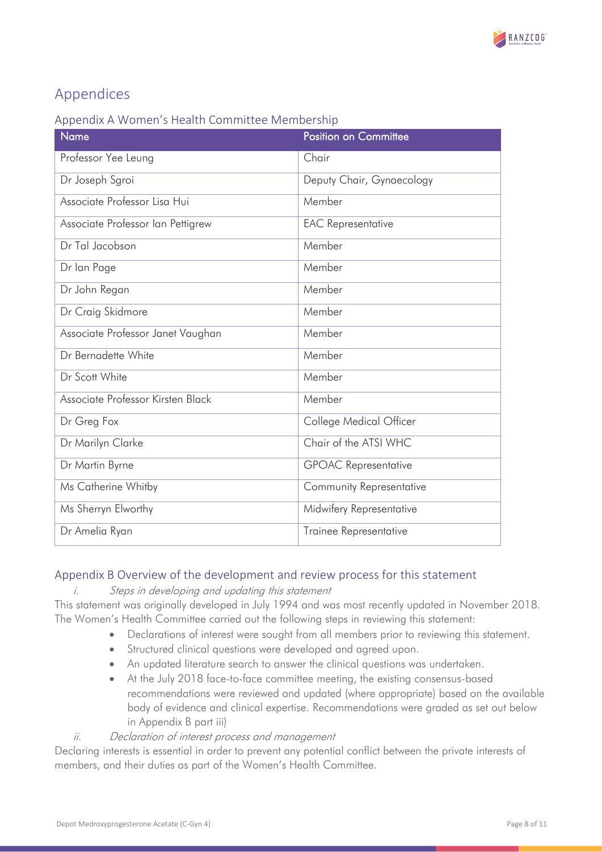

# <span id="page-7-0"></span>Appendices

### Appendix A Women's Health Committee Membership

| Name                              | <b>Position on Committee</b> |
|-----------------------------------|------------------------------|
| Professor Yee Leung               | Chair                        |
| Dr Joseph Sgroi                   | Deputy Chair, Gynaecology    |
| Associate Professor Lisa Hui      | Member                       |
| Associate Professor Ian Pettigrew | <b>EAC</b> Representative    |
| Dr Tal Jacobson                   | Member                       |
| Dr lan Page                       | Member                       |
| Dr John Regan                     | Member                       |
| Dr Craig Skidmore                 | Member                       |
| Associate Professor Janet Vaughan | Member                       |
| Dr Bernadette White               | Member                       |
| Dr Scott White                    | Member                       |
| Associate Professor Kirsten Black | Member                       |
| Dr Greg Fox                       | College Medical Officer      |
| Dr Marilyn Clarke                 | Chair of the ATSI WHC        |
| Dr Martin Byrne                   | <b>GPOAC Representative</b>  |
| Ms Catherine Whitby               | Community Representative     |
| Ms Sherryn Elworthy               | Midwifery Representative     |
| Dr Amelia Ryan                    | Trainee Representative       |
|                                   |                              |

### <span id="page-7-1"></span>Appendix B Overview of the development and review process for this statement

#### i. Steps in developing and updating this statement

This statement was originally developed in July 1994 and was most recently updated in November 2018. The Women's Health Committee carried out the following steps in reviewing this statement:

- Declarations of interest were sought from all members prior to reviewing this statement.
	- Structured clinical questions were developed and agreed upon.
	- An updated literature search to answer the clinical questions was undertaken.
	- At the July 2018 face-to-face committee meeting, the existing consensus-based recommendations were reviewed and updated (where appropriate) based on the available body of evidence and clinical expertise. Recommendations were graded as set out below in Appendix B part iii)

### ii. Declaration of interest process and management

Declaring interests is essential in order to prevent any potential conflict between the private interests of members, and their duties as part of the Women's Health Committee.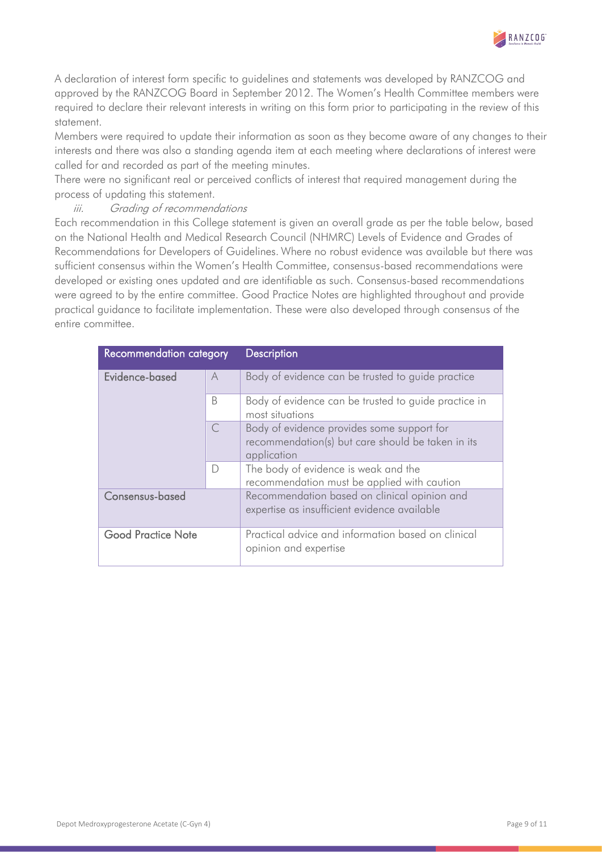

A declaration of interest form specific to guidelines and statements was developed by RANZCOG and approved by the RANZCOG Board in September 2012. The Women's Health Committee members were required to declare their relevant interests in writing on this form prior to participating in the review of this statement.

Members were required to update their information as soon as they become aware of any changes to their interests and there was also a standing agenda item at each meeting where declarations of interest were called for and recorded as part of the meeting minutes.

There were no significant real or perceived conflicts of interest that required management during the process of updating this statement.

#### iii. Grading of recommendations

Each recommendation in this College statement is given an overall grade as per the table below, based on the National Health and Medical Research Council (NHMRC) Levels of Evidence and Grades of Recommendations for Developers of Guidelines. Where no robust evidence was available but there was sufficient consensus within the Women's Health Committee, consensus-based recommendations were developed or existing ones updated and are identifiable as such. Consensus-based recommendations were agreed to by the entire committee. Good Practice Notes are highlighted throughout and provide practical guidance to facilitate implementation. These were also developed through consensus of the entire committee.

| Recommendation category   |   | <b>Description</b>                                                                                             |
|---------------------------|---|----------------------------------------------------------------------------------------------------------------|
| Evidence-based            | A | Body of evidence can be trusted to guide practice                                                              |
|                           | B | Body of evidence can be trusted to guide practice in<br>most situations                                        |
|                           |   | Body of evidence provides some support for<br>recommendation(s) but care should be taken in its<br>application |
|                           | D | The body of evidence is weak and the<br>recommendation must be applied with caution                            |
| Consensus-based           |   | Recommendation based on clinical opinion and<br>expertise as insufficient evidence available                   |
| <b>Good Practice Note</b> |   | Practical advice and information based on clinical<br>opinion and expertise                                    |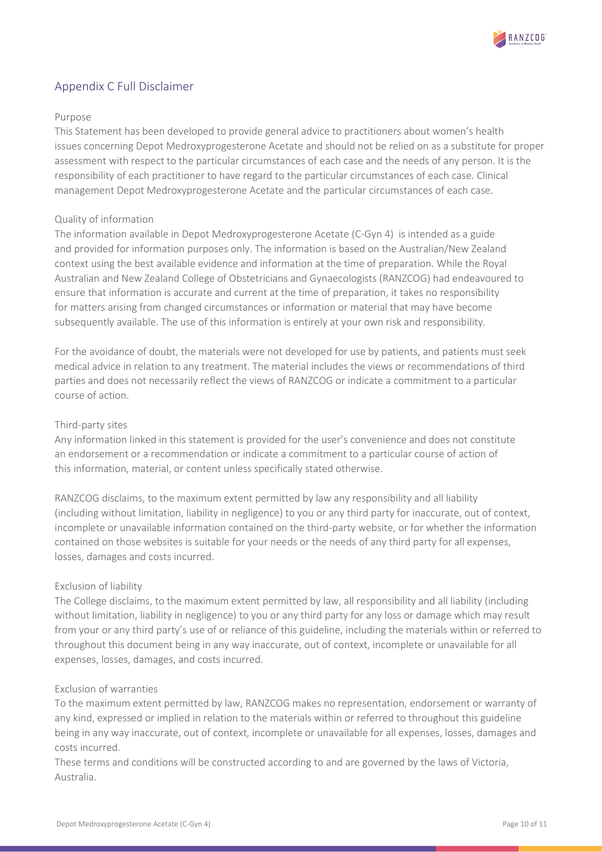

### <span id="page-9-0"></span>Appendix C Full Disclaimer

#### Purpose

This Statement has been developed to provide general advice to practitioners about women's health issues concerning Depot Medroxyprogesterone Acetate and should not be relied on as a substitute for proper assessment with respect to the particular circumstances of each case and the needs of any person. It is the responsibility of each practitioner to have regard to the particular circumstances of each case. Clinical management Depot Medroxyprogesterone Acetate and the particular circumstances of each case.

#### Quality of information

The information available in Depot Medroxyprogesterone Acetate (C-Gyn 4) is intended as a guide and provided for information purposes only. The information is based on the Australian/New Zealand context using the best available evidence and information at the time of preparation. While the Royal Australian and New Zealand College of Obstetricians and Gynaecologists (RANZCOG) had endeavoured to ensure that information is accurate and current at the time of preparation, it takes no responsibility for matters arising from changed circumstances or information or material that may have become subsequently available. The use of this information is entirely at your own risk and responsibility.

For the avoidance of doubt, the materials were not developed for use by patients, and patients must seek medical advice in relation to any treatment. The material includes the views or recommendations of third parties and does not necessarily reflect the views of RANZCOG or indicate a commitment to a particular course of action.

#### Third-party sites

Any information linked in this statement is provided for the user's convenience and does not constitute an endorsement or a recommendation or indicate a commitment to a particular course of action of this information, material, or content unless specifically stated otherwise.

RANZCOG disclaims, to the maximum extent permitted by law any responsibility and all liability (including without limitation, liability in negligence) to you or any third party for inaccurate, out of context, incomplete or unavailable information contained on the third-party website, or for whether the information contained on those websites is suitable for your needs or the needs of any third party for all expenses, losses, damages and costs incurred.

#### Exclusion of liability

The College disclaims, to the maximum extent permitted by law, all responsibility and all liability (including without limitation, liability in negligence) to you or any third party for any loss or damage which may result from your or any third party's use of or reliance of this guideline, including the materials within or referred to throughout this document being in any way inaccurate, out of context, incomplete or unavailable for all expenses, losses, damages, and costs incurred.

#### Exclusion of warranties

To the maximum extent permitted by law, RANZCOG makes no representation, endorsement or warranty of any kind, expressed or implied in relation to the materials within or referred to throughout this guideline being in any way inaccurate, out of context, incomplete or unavailable for all expenses, losses, damages and costs incurred.

These terms and conditions will be constructed according to and are governed by the laws of Victoria, Australia.